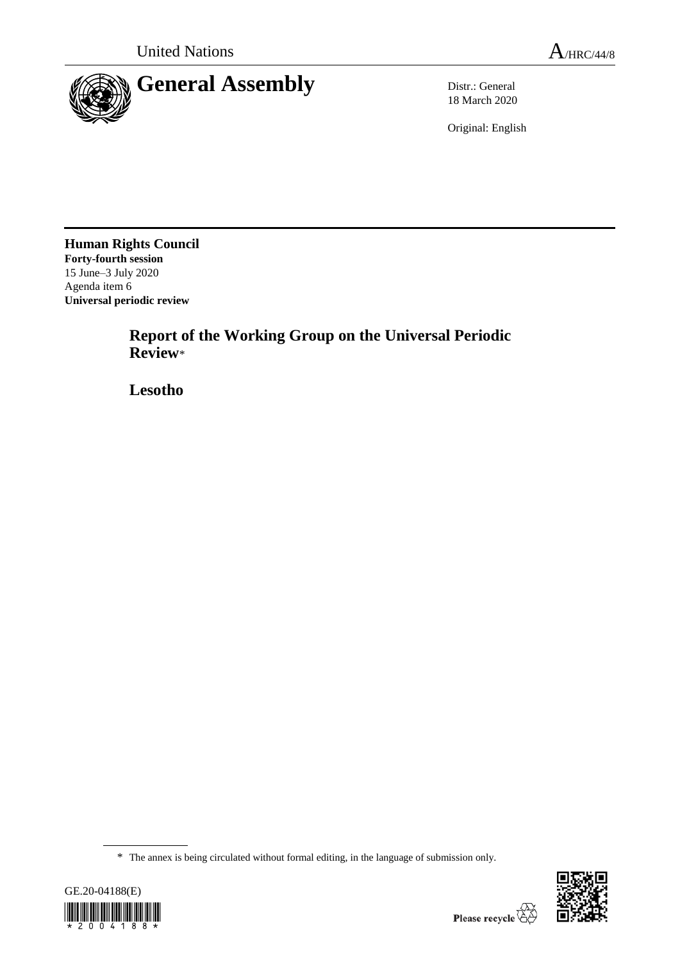

18 March 2020

Original: English

**Human Rights Council Forty-fourth session** 15 June–3 July 2020 Agenda item 6 **Universal periodic review**

> **Report of the Working Group on the Universal Periodic Review**\*

**Lesotho**

<sup>\*</sup> The annex is being circulated without formal editing, in the language of submission only.



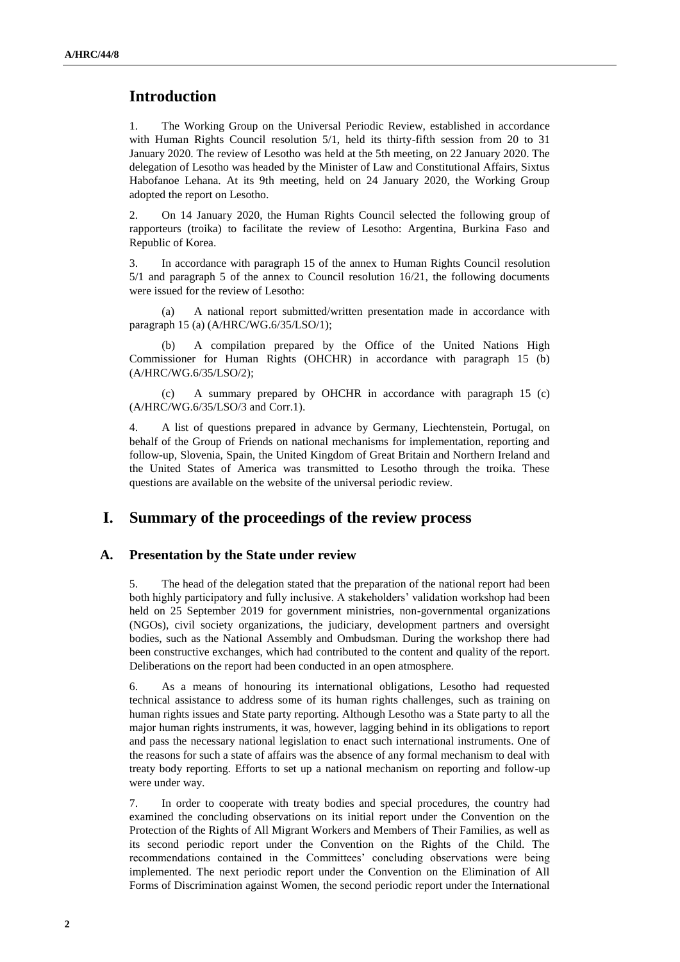# **Introduction**

1. The Working Group on the Universal Periodic Review, established in accordance with Human Rights Council resolution 5/1, held its thirty-fifth session from 20 to 31 January 2020. The review of Lesotho was held at the 5th meeting, on 22 January 2020. The delegation of Lesotho was headed by the Minister of Law and Constitutional Affairs, Sixtus Habofanoe Lehana. At its 9th meeting, held on 24 January 2020, the Working Group adopted the report on Lesotho.

2. On 14 January 2020, the Human Rights Council selected the following group of rapporteurs (troika) to facilitate the review of Lesotho: Argentina, Burkina Faso and Republic of Korea.

3. In accordance with paragraph 15 of the annex to Human Rights Council resolution 5/1 and paragraph 5 of the annex to Council resolution 16/21, the following documents were issued for the review of Lesotho:

(a) A national report submitted/written presentation made in accordance with paragraph 15 (a) (A/HRC/WG.6/35/LSO/1);

A compilation prepared by the Office of the United Nations High Commissioner for Human Rights (OHCHR) in accordance with paragraph 15 (b) (A/HRC/WG.6/35/LSO/2);

(c) A summary prepared by OHCHR in accordance with paragraph 15 (c) (A/HRC/WG.6/35/LSO/3 and Corr.1).

4. A list of questions prepared in advance by Germany, Liechtenstein, Portugal, on behalf of the Group of Friends on national mechanisms for implementation, reporting and follow-up, Slovenia, Spain, the United Kingdom of Great Britain and Northern Ireland and the United States of America was transmitted to Lesotho through the troika. These questions are available on the website of the universal periodic review.

# **I. Summary of the proceedings of the review process**

### **A. Presentation by the State under review**

5. The head of the delegation stated that the preparation of the national report had been both highly participatory and fully inclusive. A stakeholders' validation workshop had been held on 25 September 2019 for government ministries, non-governmental organizations (NGOs), civil society organizations, the judiciary, development partners and oversight bodies, such as the National Assembly and Ombudsman. During the workshop there had been constructive exchanges, which had contributed to the content and quality of the report. Deliberations on the report had been conducted in an open atmosphere.

6. As a means of honouring its international obligations, Lesotho had requested technical assistance to address some of its human rights challenges, such as training on human rights issues and State party reporting. Although Lesotho was a State party to all the major human rights instruments, it was, however, lagging behind in its obligations to report and pass the necessary national legislation to enact such international instruments. One of the reasons for such a state of affairs was the absence of any formal mechanism to deal with treaty body reporting. Efforts to set up a national mechanism on reporting and follow-up were under way.

7. In order to cooperate with treaty bodies and special procedures, the country had examined the concluding observations on its initial report under the Convention on the Protection of the Rights of All Migrant Workers and Members of Their Families, as well as its second periodic report under the Convention on the Rights of the Child. The recommendations contained in the Committees' concluding observations were being implemented. The next periodic report under the Convention on the Elimination of All Forms of Discrimination against Women, the second periodic report under the International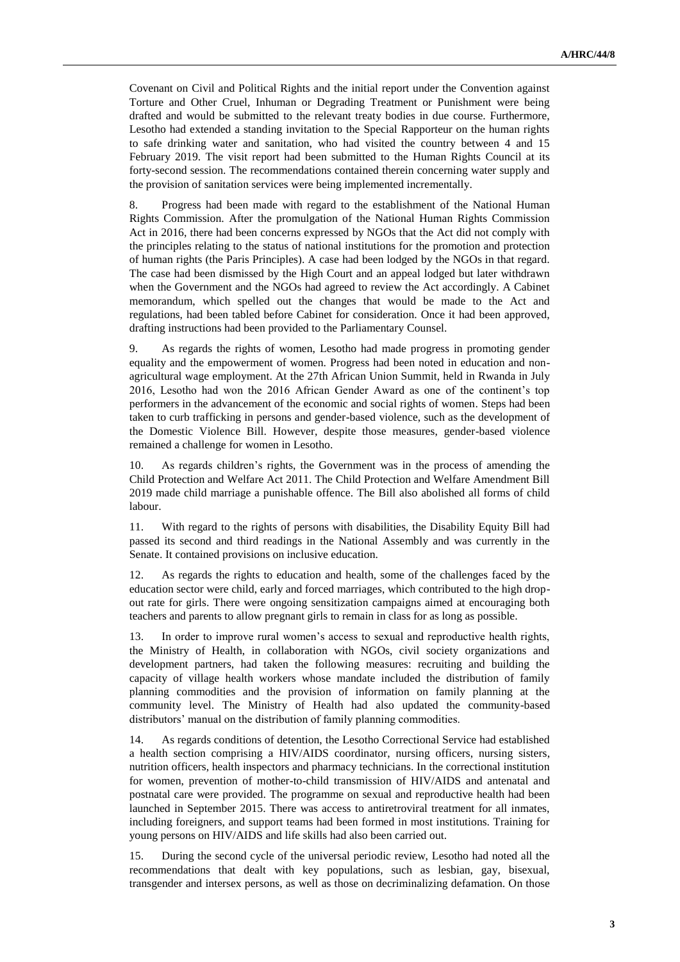Covenant on Civil and Political Rights and the initial report under the Convention against Torture and Other Cruel, Inhuman or Degrading Treatment or Punishment were being drafted and would be submitted to the relevant treaty bodies in due course. Furthermore, Lesotho had extended a standing invitation to the Special Rapporteur on the human rights to safe drinking water and sanitation, who had visited the country between 4 and 15 February 2019. The visit report had been submitted to the Human Rights Council at its forty-second session. The recommendations contained therein concerning water supply and the provision of sanitation services were being implemented incrementally.

8. Progress had been made with regard to the establishment of the National Human Rights Commission. After the promulgation of the National Human Rights Commission Act in 2016, there had been concerns expressed by NGOs that the Act did not comply with the principles relating to the status of national institutions for the promotion and protection of human rights (the Paris Principles). A case had been lodged by the NGOs in that regard. The case had been dismissed by the High Court and an appeal lodged but later withdrawn when the Government and the NGOs had agreed to review the Act accordingly. A Cabinet memorandum, which spelled out the changes that would be made to the Act and regulations, had been tabled before Cabinet for consideration. Once it had been approved, drafting instructions had been provided to the Parliamentary Counsel.

9. As regards the rights of women, Lesotho had made progress in promoting gender equality and the empowerment of women. Progress had been noted in education and nonagricultural wage employment. At the 27th African Union Summit, held in Rwanda in July 2016, Lesotho had won the 2016 African Gender Award as one of the continent's top performers in the advancement of the economic and social rights of women. Steps had been taken to curb trafficking in persons and gender-based violence, such as the development of the Domestic Violence Bill. However, despite those measures, gender-based violence remained a challenge for women in Lesotho.

10. As regards children's rights, the Government was in the process of amending the Child Protection and Welfare Act 2011. The Child Protection and Welfare Amendment Bill 2019 made child marriage a punishable offence. The Bill also abolished all forms of child labour.

11. With regard to the rights of persons with disabilities, the Disability Equity Bill had passed its second and third readings in the National Assembly and was currently in the Senate. It contained provisions on inclusive education.

12. As regards the rights to education and health, some of the challenges faced by the education sector were child, early and forced marriages, which contributed to the high dropout rate for girls. There were ongoing sensitization campaigns aimed at encouraging both teachers and parents to allow pregnant girls to remain in class for as long as possible.

13. In order to improve rural women's access to sexual and reproductive health rights, the Ministry of Health, in collaboration with NGOs, civil society organizations and development partners, had taken the following measures: recruiting and building the capacity of village health workers whose mandate included the distribution of family planning commodities and the provision of information on family planning at the community level. The Ministry of Health had also updated the community-based distributors' manual on the distribution of family planning commodities.

14. As regards conditions of detention, the Lesotho Correctional Service had established a health section comprising a HIV/AIDS coordinator, nursing officers, nursing sisters, nutrition officers, health inspectors and pharmacy technicians. In the correctional institution for women, prevention of mother-to-child transmission of HIV/AIDS and antenatal and postnatal care were provided. The programme on sexual and reproductive health had been launched in September 2015. There was access to antiretroviral treatment for all inmates, including foreigners, and support teams had been formed in most institutions. Training for young persons on HIV/AIDS and life skills had also been carried out.

15. During the second cycle of the universal periodic review, Lesotho had noted all the recommendations that dealt with key populations, such as lesbian, gay, bisexual, transgender and intersex persons, as well as those on decriminalizing defamation. On those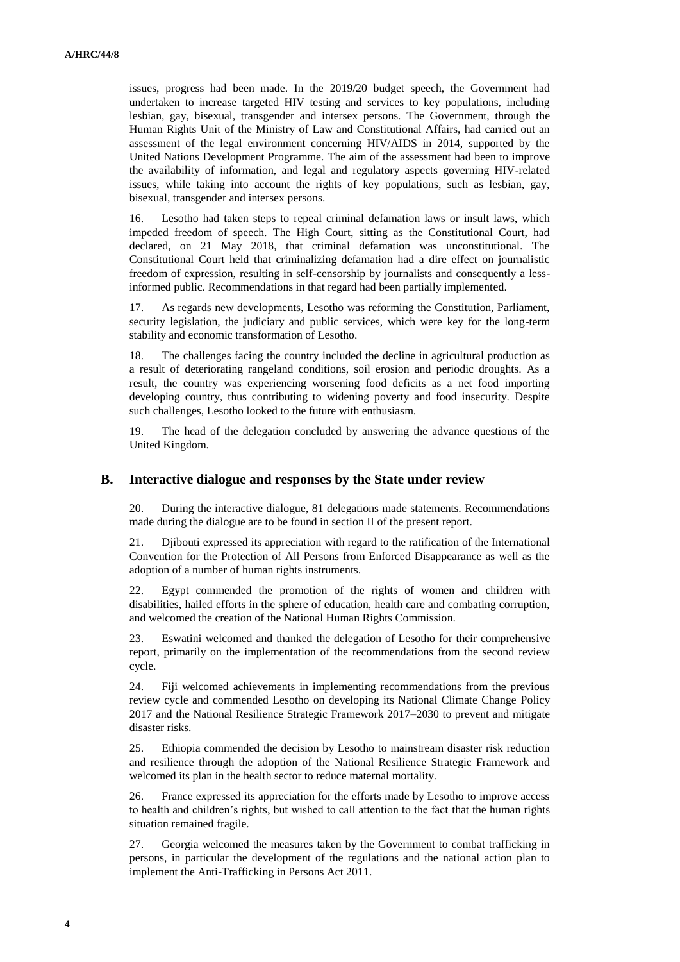issues, progress had been made. In the 2019/20 budget speech, the Government had undertaken to increase targeted HIV testing and services to key populations, including lesbian, gay, bisexual, transgender and intersex persons. The Government, through the Human Rights Unit of the Ministry of Law and Constitutional Affairs, had carried out an assessment of the legal environment concerning HIV/AIDS in 2014, supported by the United Nations Development Programme. The aim of the assessment had been to improve the availability of information, and legal and regulatory aspects governing HIV-related issues, while taking into account the rights of key populations, such as lesbian, gay, bisexual, transgender and intersex persons.

16. Lesotho had taken steps to repeal criminal defamation laws or insult laws, which impeded freedom of speech. The High Court, sitting as the Constitutional Court, had declared, on 21 May 2018, that criminal defamation was unconstitutional. The Constitutional Court held that criminalizing defamation had a dire effect on journalistic freedom of expression, resulting in self-censorship by journalists and consequently a lessinformed public. Recommendations in that regard had been partially implemented.

17. As regards new developments, Lesotho was reforming the Constitution, Parliament, security legislation, the judiciary and public services, which were key for the long-term stability and economic transformation of Lesotho.

18. The challenges facing the country included the decline in agricultural production as a result of deteriorating rangeland conditions, soil erosion and periodic droughts. As a result, the country was experiencing worsening food deficits as a net food importing developing country, thus contributing to widening poverty and food insecurity. Despite such challenges, Lesotho looked to the future with enthusiasm.

19. The head of the delegation concluded by answering the advance questions of the United Kingdom.

#### **B. Interactive dialogue and responses by the State under review**

20. During the interactive dialogue, 81 delegations made statements. Recommendations made during the dialogue are to be found in section II of the present report.

21. Djibouti expressed its appreciation with regard to the ratification of the International Convention for the Protection of All Persons from Enforced Disappearance as well as the adoption of a number of human rights instruments.

22. Egypt commended the promotion of the rights of women and children with disabilities, hailed efforts in the sphere of education, health care and combating corruption, and welcomed the creation of the National Human Rights Commission.

23. Eswatini welcomed and thanked the delegation of Lesotho for their comprehensive report, primarily on the implementation of the recommendations from the second review cycle.

24. Fiji welcomed achievements in implementing recommendations from the previous review cycle and commended Lesotho on developing its National Climate Change Policy 2017 and the National Resilience Strategic Framework 2017–2030 to prevent and mitigate disaster risks.

25. Ethiopia commended the decision by Lesotho to mainstream disaster risk reduction and resilience through the adoption of the National Resilience Strategic Framework and welcomed its plan in the health sector to reduce maternal mortality.

26. France expressed its appreciation for the efforts made by Lesotho to improve access to health and children's rights, but wished to call attention to the fact that the human rights situation remained fragile.

27. Georgia welcomed the measures taken by the Government to combat trafficking in persons, in particular the development of the regulations and the national action plan to implement the Anti-Trafficking in Persons Act 2011.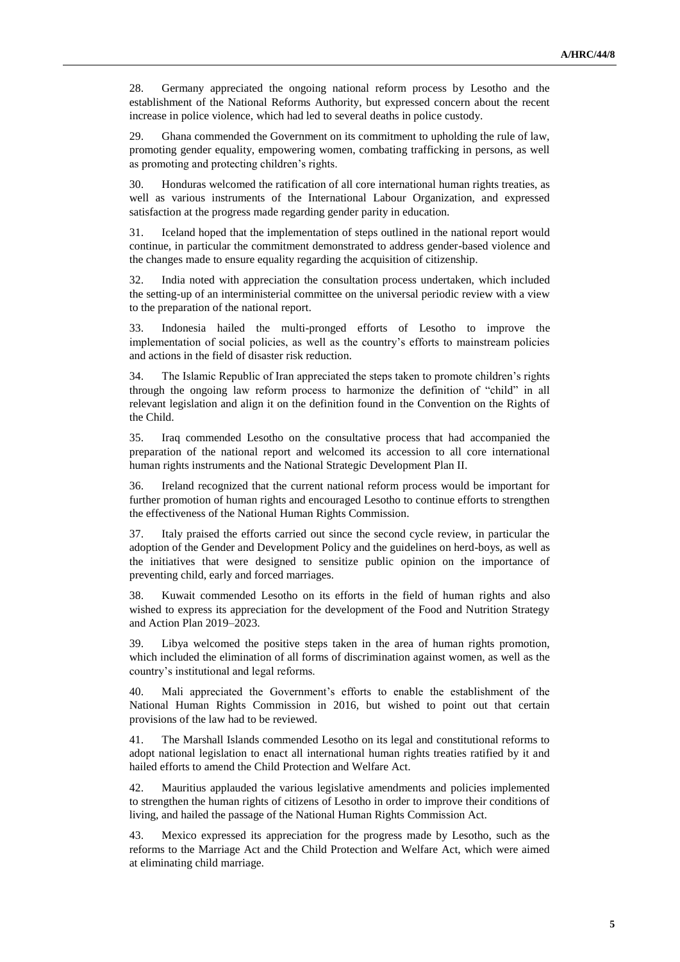28. Germany appreciated the ongoing national reform process by Lesotho and the establishment of the National Reforms Authority, but expressed concern about the recent increase in police violence, which had led to several deaths in police custody.

29. Ghana commended the Government on its commitment to upholding the rule of law, promoting gender equality, empowering women, combating trafficking in persons, as well as promoting and protecting children's rights.

30. Honduras welcomed the ratification of all core international human rights treaties, as well as various instruments of the International Labour Organization, and expressed satisfaction at the progress made regarding gender parity in education.

31. Iceland hoped that the implementation of steps outlined in the national report would continue, in particular the commitment demonstrated to address gender-based violence and the changes made to ensure equality regarding the acquisition of citizenship.

32. India noted with appreciation the consultation process undertaken, which included the setting-up of an interministerial committee on the universal periodic review with a view to the preparation of the national report.

33. Indonesia hailed the multi-pronged efforts of Lesotho to improve the implementation of social policies, as well as the country's efforts to mainstream policies and actions in the field of disaster risk reduction.

34. The Islamic Republic of Iran appreciated the steps taken to promote children's rights through the ongoing law reform process to harmonize the definition of "child" in all relevant legislation and align it on the definition found in the Convention on the Rights of the Child.

35. Iraq commended Lesotho on the consultative process that had accompanied the preparation of the national report and welcomed its accession to all core international human rights instruments and the National Strategic Development Plan II.

36. Ireland recognized that the current national reform process would be important for further promotion of human rights and encouraged Lesotho to continue efforts to strengthen the effectiveness of the National Human Rights Commission.

37. Italy praised the efforts carried out since the second cycle review, in particular the adoption of the Gender and Development Policy and the guidelines on herd-boys, as well as the initiatives that were designed to sensitize public opinion on the importance of preventing child, early and forced marriages.

38. Kuwait commended Lesotho on its efforts in the field of human rights and also wished to express its appreciation for the development of the Food and Nutrition Strategy and Action Plan 2019–2023.

39. Libya welcomed the positive steps taken in the area of human rights promotion, which included the elimination of all forms of discrimination against women, as well as the country's institutional and legal reforms.

40. Mali appreciated the Government's efforts to enable the establishment of the National Human Rights Commission in 2016, but wished to point out that certain provisions of the law had to be reviewed.

41. The Marshall Islands commended Lesotho on its legal and constitutional reforms to adopt national legislation to enact all international human rights treaties ratified by it and hailed efforts to amend the Child Protection and Welfare Act.

42. Mauritius applauded the various legislative amendments and policies implemented to strengthen the human rights of citizens of Lesotho in order to improve their conditions of living, and hailed the passage of the National Human Rights Commission Act.

43. Mexico expressed its appreciation for the progress made by Lesotho, such as the reforms to the Marriage Act and the Child Protection and Welfare Act, which were aimed at eliminating child marriage.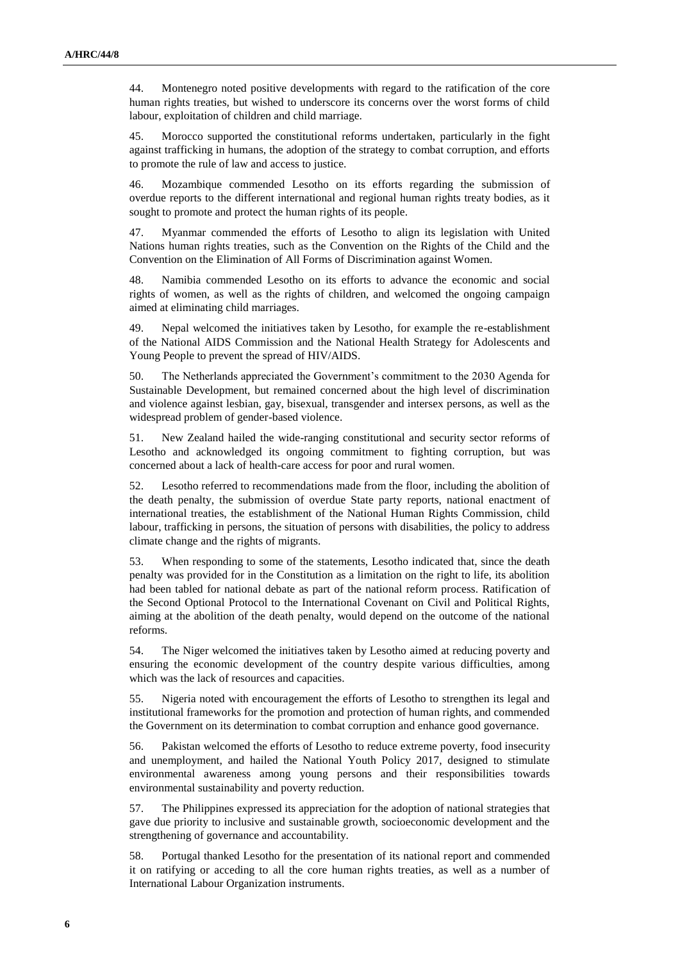44. Montenegro noted positive developments with regard to the ratification of the core human rights treaties, but wished to underscore its concerns over the worst forms of child labour, exploitation of children and child marriage.

45. Morocco supported the constitutional reforms undertaken, particularly in the fight against trafficking in humans, the adoption of the strategy to combat corruption, and efforts to promote the rule of law and access to justice.

46. Mozambique commended Lesotho on its efforts regarding the submission of overdue reports to the different international and regional human rights treaty bodies, as it sought to promote and protect the human rights of its people.

47. Myanmar commended the efforts of Lesotho to align its legislation with United Nations human rights treaties, such as the Convention on the Rights of the Child and the Convention on the Elimination of All Forms of Discrimination against Women.

48. Namibia commended Lesotho on its efforts to advance the economic and social rights of women, as well as the rights of children, and welcomed the ongoing campaign aimed at eliminating child marriages.

49. Nepal welcomed the initiatives taken by Lesotho, for example the re-establishment of the National AIDS Commission and the National Health Strategy for Adolescents and Young People to prevent the spread of HIV/AIDS.

50. The Netherlands appreciated the Government's commitment to the 2030 Agenda for Sustainable Development, but remained concerned about the high level of discrimination and violence against lesbian, gay, bisexual, transgender and intersex persons, as well as the widespread problem of gender-based violence.

51. New Zealand hailed the wide-ranging constitutional and security sector reforms of Lesotho and acknowledged its ongoing commitment to fighting corruption, but was concerned about a lack of health-care access for poor and rural women.

52. Lesotho referred to recommendations made from the floor, including the abolition of the death penalty, the submission of overdue State party reports, national enactment of international treaties, the establishment of the National Human Rights Commission, child labour, trafficking in persons, the situation of persons with disabilities, the policy to address climate change and the rights of migrants.

53. When responding to some of the statements, Lesotho indicated that, since the death penalty was provided for in the Constitution as a limitation on the right to life, its abolition had been tabled for national debate as part of the national reform process. Ratification of the Second Optional Protocol to the International Covenant on Civil and Political Rights, aiming at the abolition of the death penalty, would depend on the outcome of the national reforms.

54. The Niger welcomed the initiatives taken by Lesotho aimed at reducing poverty and ensuring the economic development of the country despite various difficulties, among which was the lack of resources and capacities.

55. Nigeria noted with encouragement the efforts of Lesotho to strengthen its legal and institutional frameworks for the promotion and protection of human rights, and commended the Government on its determination to combat corruption and enhance good governance.

56. Pakistan welcomed the efforts of Lesotho to reduce extreme poverty, food insecurity and unemployment, and hailed the National Youth Policy 2017, designed to stimulate environmental awareness among young persons and their responsibilities towards environmental sustainability and poverty reduction.

57. The Philippines expressed its appreciation for the adoption of national strategies that gave due priority to inclusive and sustainable growth, socioeconomic development and the strengthening of governance and accountability.

58. Portugal thanked Lesotho for the presentation of its national report and commended it on ratifying or acceding to all the core human rights treaties, as well as a number of International Labour Organization instruments.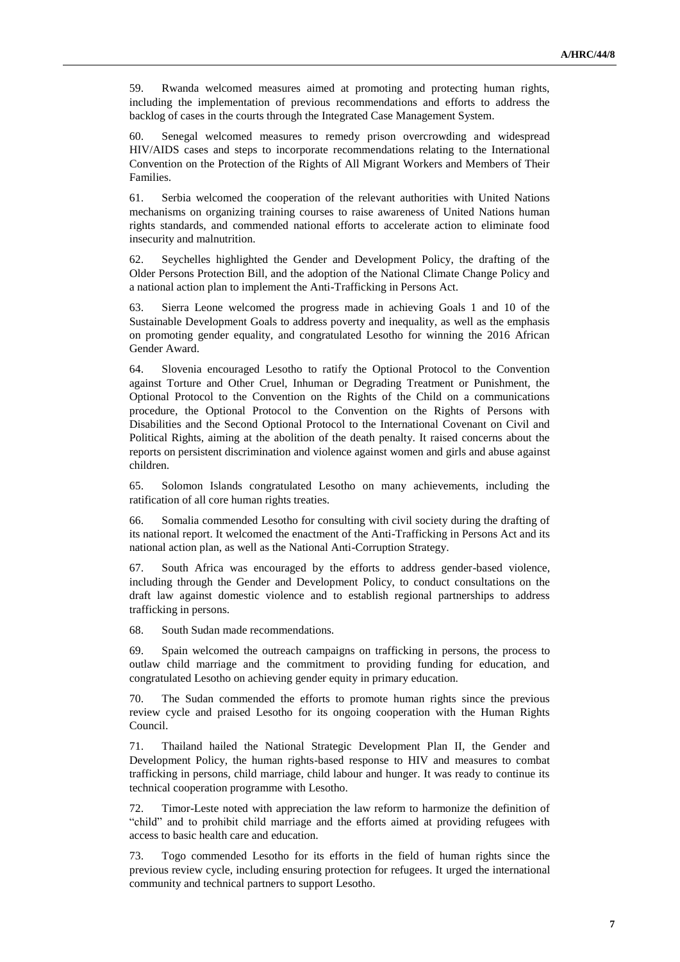59. Rwanda welcomed measures aimed at promoting and protecting human rights, including the implementation of previous recommendations and efforts to address the backlog of cases in the courts through the Integrated Case Management System.

60. Senegal welcomed measures to remedy prison overcrowding and widespread HIV/AIDS cases and steps to incorporate recommendations relating to the International Convention on the Protection of the Rights of All Migrant Workers and Members of Their Families.

61. Serbia welcomed the cooperation of the relevant authorities with United Nations mechanisms on organizing training courses to raise awareness of United Nations human rights standards, and commended national efforts to accelerate action to eliminate food insecurity and malnutrition.

62. Seychelles highlighted the Gender and Development Policy, the drafting of the Older Persons Protection Bill, and the adoption of the National Climate Change Policy and a national action plan to implement the Anti-Trafficking in Persons Act.

63. Sierra Leone welcomed the progress made in achieving Goals 1 and 10 of the Sustainable Development Goals to address poverty and inequality, as well as the emphasis on promoting gender equality, and congratulated Lesotho for winning the 2016 African Gender Award.

64. Slovenia encouraged Lesotho to ratify the Optional Protocol to the Convention against Torture and Other Cruel, Inhuman or Degrading Treatment or Punishment, the Optional Protocol to the Convention on the Rights of the Child on a communications procedure, the Optional Protocol to the Convention on the Rights of Persons with Disabilities and the Second Optional Protocol to the International Covenant on Civil and Political Rights, aiming at the abolition of the death penalty. It raised concerns about the reports on persistent discrimination and violence against women and girls and abuse against children.

65. Solomon Islands congratulated Lesotho on many achievements, including the ratification of all core human rights treaties.

66. Somalia commended Lesotho for consulting with civil society during the drafting of its national report. It welcomed the enactment of the Anti-Trafficking in Persons Act and its national action plan, as well as the National Anti-Corruption Strategy.

67. South Africa was encouraged by the efforts to address gender-based violence, including through the Gender and Development Policy, to conduct consultations on the draft law against domestic violence and to establish regional partnerships to address trafficking in persons.

68. South Sudan made recommendations.

69. Spain welcomed the outreach campaigns on trafficking in persons, the process to outlaw child marriage and the commitment to providing funding for education, and congratulated Lesotho on achieving gender equity in primary education.

70. The Sudan commended the efforts to promote human rights since the previous review cycle and praised Lesotho for its ongoing cooperation with the Human Rights Council.

71. Thailand hailed the National Strategic Development Plan II, the Gender and Development Policy, the human rights-based response to HIV and measures to combat trafficking in persons, child marriage, child labour and hunger. It was ready to continue its technical cooperation programme with Lesotho.

72. Timor-Leste noted with appreciation the law reform to harmonize the definition of "child" and to prohibit child marriage and the efforts aimed at providing refugees with access to basic health care and education.

73. Togo commended Lesotho for its efforts in the field of human rights since the previous review cycle, including ensuring protection for refugees. It urged the international community and technical partners to support Lesotho.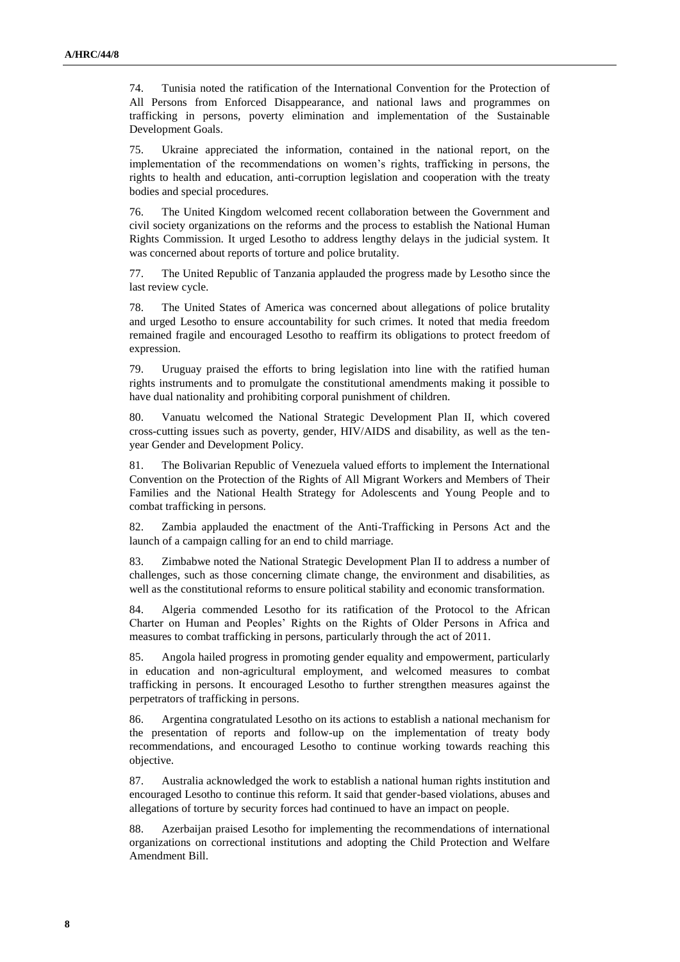74. Tunisia noted the ratification of the International Convention for the Protection of All Persons from Enforced Disappearance, and national laws and programmes on trafficking in persons, poverty elimination and implementation of the Sustainable Development Goals.

75. Ukraine appreciated the information, contained in the national report, on the implementation of the recommendations on women's rights, trafficking in persons, the rights to health and education, anti-corruption legislation and cooperation with the treaty bodies and special procedures.

76. The United Kingdom welcomed recent collaboration between the Government and civil society organizations on the reforms and the process to establish the National Human Rights Commission. It urged Lesotho to address lengthy delays in the judicial system. It was concerned about reports of torture and police brutality.

77. The United Republic of Tanzania applauded the progress made by Lesotho since the last review cycle.

78. The United States of America was concerned about allegations of police brutality and urged Lesotho to ensure accountability for such crimes. It noted that media freedom remained fragile and encouraged Lesotho to reaffirm its obligations to protect freedom of expression.

79. Uruguay praised the efforts to bring legislation into line with the ratified human rights instruments and to promulgate the constitutional amendments making it possible to have dual nationality and prohibiting corporal punishment of children.

80. Vanuatu welcomed the National Strategic Development Plan II, which covered cross-cutting issues such as poverty, gender, HIV/AIDS and disability, as well as the tenyear Gender and Development Policy.

81. The Bolivarian Republic of Venezuela valued efforts to implement the International Convention on the Protection of the Rights of All Migrant Workers and Members of Their Families and the National Health Strategy for Adolescents and Young People and to combat trafficking in persons.

82. Zambia applauded the enactment of the Anti-Trafficking in Persons Act and the launch of a campaign calling for an end to child marriage.

83. Zimbabwe noted the National Strategic Development Plan II to address a number of challenges, such as those concerning climate change, the environment and disabilities, as well as the constitutional reforms to ensure political stability and economic transformation.

84. Algeria commended Lesotho for its ratification of the Protocol to the African Charter on Human and Peoples' Rights on the Rights of Older Persons in Africa and measures to combat trafficking in persons, particularly through the act of 2011.

85. Angola hailed progress in promoting gender equality and empowerment, particularly in education and non-agricultural employment, and welcomed measures to combat trafficking in persons. It encouraged Lesotho to further strengthen measures against the perpetrators of trafficking in persons.

86. Argentina congratulated Lesotho on its actions to establish a national mechanism for the presentation of reports and follow-up on the implementation of treaty body recommendations, and encouraged Lesotho to continue working towards reaching this objective.

87. Australia acknowledged the work to establish a national human rights institution and encouraged Lesotho to continue this reform. It said that gender-based violations, abuses and allegations of torture by security forces had continued to have an impact on people.

88. Azerbaijan praised Lesotho for implementing the recommendations of international organizations on correctional institutions and adopting the Child Protection and Welfare Amendment Bill.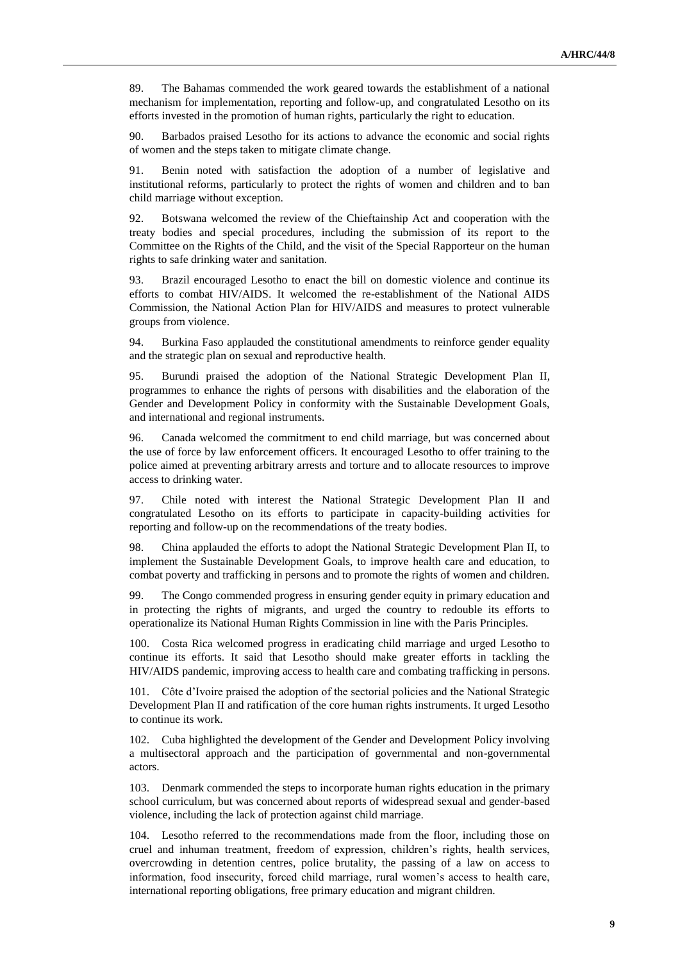89. The Bahamas commended the work geared towards the establishment of a national mechanism for implementation, reporting and follow-up, and congratulated Lesotho on its efforts invested in the promotion of human rights, particularly the right to education.

90. Barbados praised Lesotho for its actions to advance the economic and social rights of women and the steps taken to mitigate climate change.

91. Benin noted with satisfaction the adoption of a number of legislative and institutional reforms, particularly to protect the rights of women and children and to ban child marriage without exception.

92. Botswana welcomed the review of the Chieftainship Act and cooperation with the treaty bodies and special procedures, including the submission of its report to the Committee on the Rights of the Child, and the visit of the Special Rapporteur on the human rights to safe drinking water and sanitation.

93. Brazil encouraged Lesotho to enact the bill on domestic violence and continue its efforts to combat HIV/AIDS. It welcomed the re-establishment of the National AIDS Commission, the National Action Plan for HIV/AIDS and measures to protect vulnerable groups from violence.

94. Burkina Faso applauded the constitutional amendments to reinforce gender equality and the strategic plan on sexual and reproductive health.

95. Burundi praised the adoption of the National Strategic Development Plan II, programmes to enhance the rights of persons with disabilities and the elaboration of the Gender and Development Policy in conformity with the Sustainable Development Goals, and international and regional instruments.

96. Canada welcomed the commitment to end child marriage, but was concerned about the use of force by law enforcement officers. It encouraged Lesotho to offer training to the police aimed at preventing arbitrary arrests and torture and to allocate resources to improve access to drinking water.

97. Chile noted with interest the National Strategic Development Plan II and congratulated Lesotho on its efforts to participate in capacity-building activities for reporting and follow-up on the recommendations of the treaty bodies.

98. China applauded the efforts to adopt the National Strategic Development Plan II, to implement the Sustainable Development Goals, to improve health care and education, to combat poverty and trafficking in persons and to promote the rights of women and children.

99. The Congo commended progress in ensuring gender equity in primary education and in protecting the rights of migrants, and urged the country to redouble its efforts to operationalize its National Human Rights Commission in line with the Paris Principles.

100. Costa Rica welcomed progress in eradicating child marriage and urged Lesotho to continue its efforts. It said that Lesotho should make greater efforts in tackling the HIV/AIDS pandemic, improving access to health care and combating trafficking in persons.

101. Côte d'Ivoire praised the adoption of the sectorial policies and the National Strategic Development Plan II and ratification of the core human rights instruments. It urged Lesotho to continue its work.

102. Cuba highlighted the development of the Gender and Development Policy involving a multisectoral approach and the participation of governmental and non-governmental actors.

103. Denmark commended the steps to incorporate human rights education in the primary school curriculum, but was concerned about reports of widespread sexual and gender-based violence, including the lack of protection against child marriage.

104. Lesotho referred to the recommendations made from the floor, including those on cruel and inhuman treatment, freedom of expression, children's rights, health services, overcrowding in detention centres, police brutality, the passing of a law on access to information, food insecurity, forced child marriage, rural women's access to health care, international reporting obligations, free primary education and migrant children.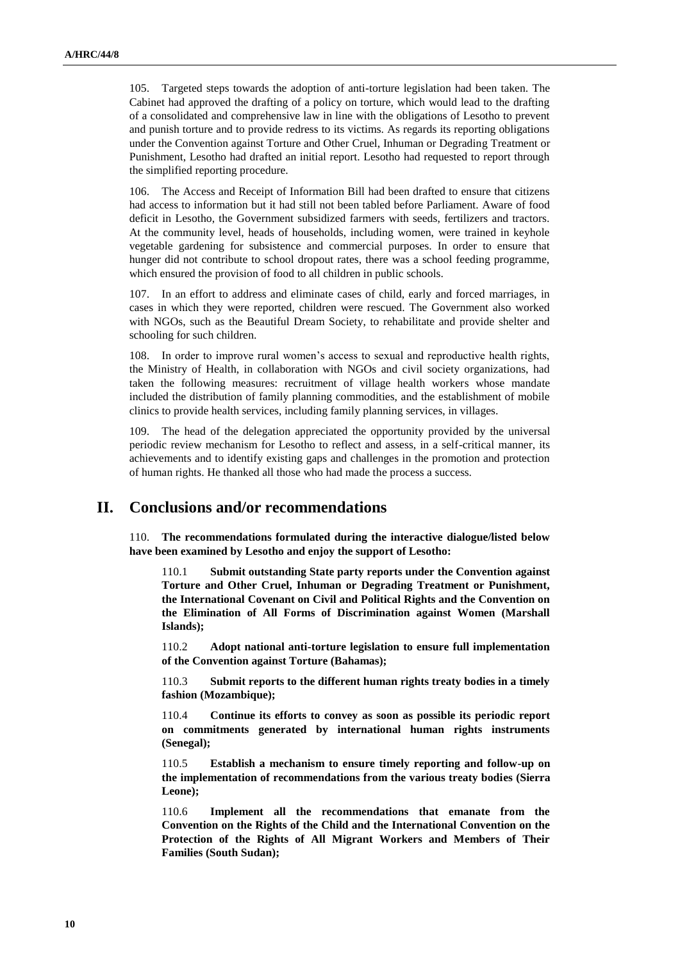105. Targeted steps towards the adoption of anti-torture legislation had been taken. The Cabinet had approved the drafting of a policy on torture, which would lead to the drafting of a consolidated and comprehensive law in line with the obligations of Lesotho to prevent and punish torture and to provide redress to its victims. As regards its reporting obligations under the Convention against Torture and Other Cruel, Inhuman or Degrading Treatment or Punishment, Lesotho had drafted an initial report. Lesotho had requested to report through the simplified reporting procedure.

106. The Access and Receipt of Information Bill had been drafted to ensure that citizens had access to information but it had still not been tabled before Parliament. Aware of food deficit in Lesotho, the Government subsidized farmers with seeds, fertilizers and tractors. At the community level, heads of households, including women, were trained in keyhole vegetable gardening for subsistence and commercial purposes. In order to ensure that hunger did not contribute to school dropout rates, there was a school feeding programme, which ensured the provision of food to all children in public schools.

107. In an effort to address and eliminate cases of child, early and forced marriages, in cases in which they were reported, children were rescued. The Government also worked with NGOs, such as the Beautiful Dream Society, to rehabilitate and provide shelter and schooling for such children.

108. In order to improve rural women's access to sexual and reproductive health rights, the Ministry of Health, in collaboration with NGOs and civil society organizations, had taken the following measures: recruitment of village health workers whose mandate included the distribution of family planning commodities, and the establishment of mobile clinics to provide health services, including family planning services, in villages.

109. The head of the delegation appreciated the opportunity provided by the universal periodic review mechanism for Lesotho to reflect and assess, in a self-critical manner, its achievements and to identify existing gaps and challenges in the promotion and protection of human rights. He thanked all those who had made the process a success.

# **II. Conclusions and/or recommendations**

110. **The recommendations formulated during the interactive dialogue/listed below have been examined by Lesotho and enjoy the support of Lesotho:**

110.1 **Submit outstanding State party reports under the Convention against Torture and Other Cruel, Inhuman or Degrading Treatment or Punishment, the International Covenant on Civil and Political Rights and the Convention on the Elimination of All Forms of Discrimination against Women (Marshall Islands);**

110.2 **Adopt national anti-torture legislation to ensure full implementation of the Convention against Torture (Bahamas);**

110.3 **Submit reports to the different human rights treaty bodies in a timely fashion (Mozambique);**

110.4 **Continue its efforts to convey as soon as possible its periodic report on commitments generated by international human rights instruments (Senegal);**

110.5 **Establish a mechanism to ensure timely reporting and follow-up on the implementation of recommendations from the various treaty bodies (Sierra Leone);**

110.6 **Implement all the recommendations that emanate from the Convention on the Rights of the Child and the International Convention on the Protection of the Rights of All Migrant Workers and Members of Their Families (South Sudan);**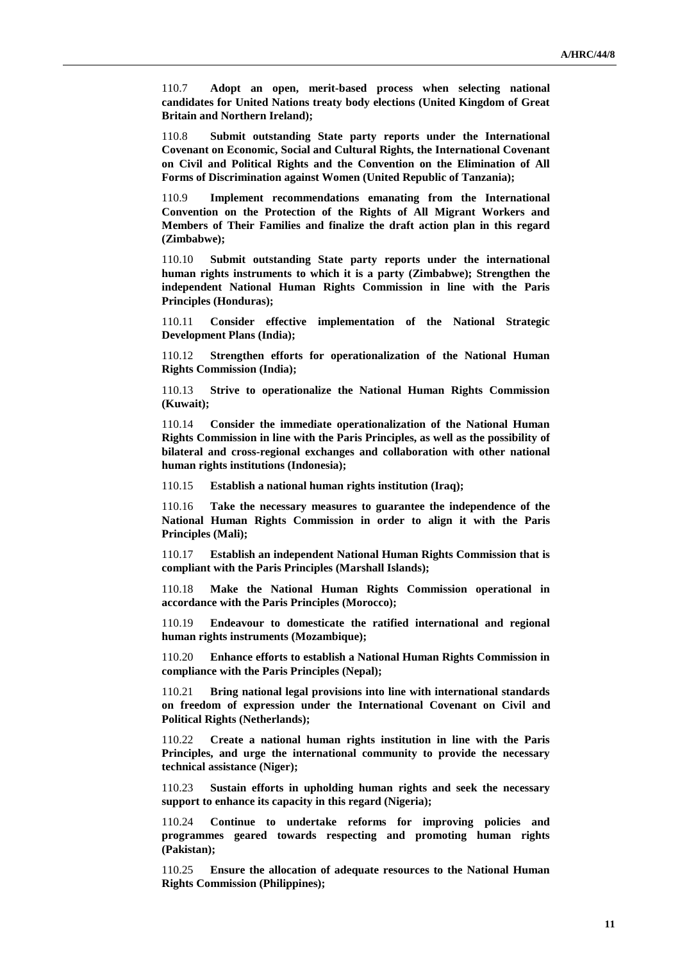110.7 **Adopt an open, merit-based process when selecting national candidates for United Nations treaty body elections (United Kingdom of Great Britain and Northern Ireland);**

110.8 **Submit outstanding State party reports under the International Covenant on Economic, Social and Cultural Rights, the International Covenant on Civil and Political Rights and the Convention on the Elimination of All Forms of Discrimination against Women (United Republic of Tanzania);**

110.9 **Implement recommendations emanating from the International Convention on the Protection of the Rights of All Migrant Workers and Members of Their Families and finalize the draft action plan in this regard (Zimbabwe);**

110.10 **Submit outstanding State party reports under the international human rights instruments to which it is a party (Zimbabwe); Strengthen the independent National Human Rights Commission in line with the Paris Principles (Honduras);**

110.11 **Consider effective implementation of the National Strategic Development Plans (India);**

110.12 **Strengthen efforts for operationalization of the National Human Rights Commission (India);**

110.13 **Strive to operationalize the National Human Rights Commission (Kuwait);**

110.14 **Consider the immediate operationalization of the National Human Rights Commission in line with the Paris Principles, as well as the possibility of bilateral and cross-regional exchanges and collaboration with other national human rights institutions (Indonesia);**

110.15 **Establish a national human rights institution (Iraq);**

110.16 **Take the necessary measures to guarantee the independence of the National Human Rights Commission in order to align it with the Paris Principles (Mali);**

110.17 **Establish an independent National Human Rights Commission that is compliant with the Paris Principles (Marshall Islands);**

110.18 **Make the National Human Rights Commission operational in accordance with the Paris Principles (Morocco);**

110.19 **Endeavour to domesticate the ratified international and regional human rights instruments (Mozambique);**

110.20 **Enhance efforts to establish a National Human Rights Commission in compliance with the Paris Principles (Nepal);**

110.21 **Bring national legal provisions into line with international standards on freedom of expression under the International Covenant on Civil and Political Rights (Netherlands);**

110.22 **Create a national human rights institution in line with the Paris Principles, and urge the international community to provide the necessary technical assistance (Niger);**

110.23 **Sustain efforts in upholding human rights and seek the necessary support to enhance its capacity in this regard (Nigeria);**

110.24 **Continue to undertake reforms for improving policies and programmes geared towards respecting and promoting human rights (Pakistan);**

110.25 **Ensure the allocation of adequate resources to the National Human Rights Commission (Philippines);**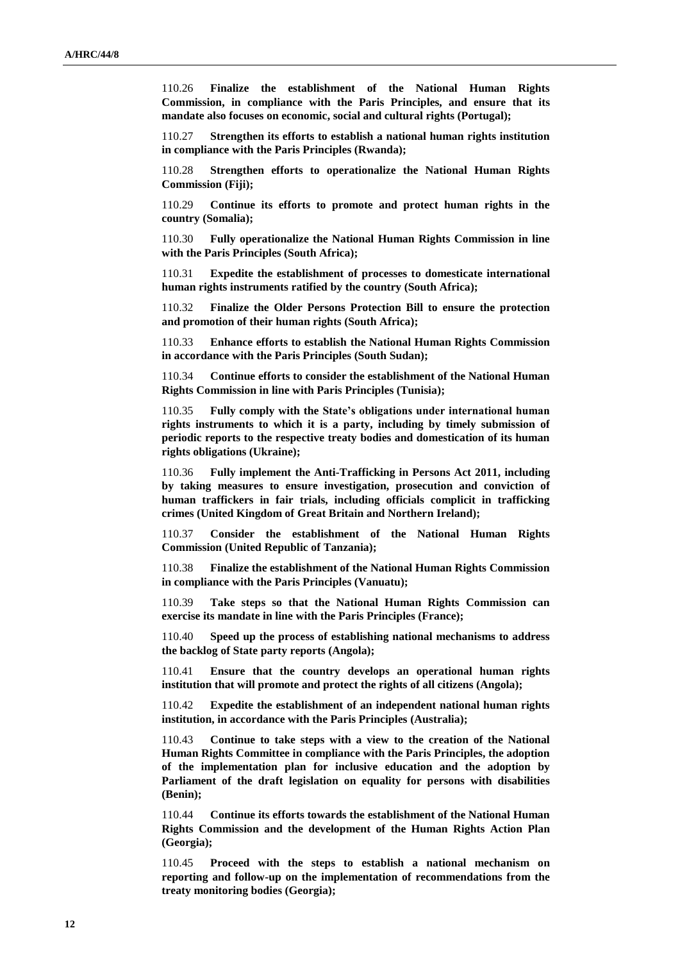110.26 **Finalize the establishment of the National Human Rights Commission, in compliance with the Paris Principles, and ensure that its mandate also focuses on economic, social and cultural rights (Portugal);**

110.27 **Strengthen its efforts to establish a national human rights institution in compliance with the Paris Principles (Rwanda);**

110.28 **Strengthen efforts to operationalize the National Human Rights Commission (Fiji);**

110.29 **Continue its efforts to promote and protect human rights in the country (Somalia);**

110.30 **Fully operationalize the National Human Rights Commission in line with the Paris Principles (South Africa);**

110.31 **Expedite the establishment of processes to domesticate international human rights instruments ratified by the country (South Africa);**

110.32 **Finalize the Older Persons Protection Bill to ensure the protection and promotion of their human rights (South Africa);**

110.33 **Enhance efforts to establish the National Human Rights Commission in accordance with the Paris Principles (South Sudan);**

110.34 **Continue efforts to consider the establishment of the National Human Rights Commission in line with Paris Principles (Tunisia);**

110.35 **Fully comply with the State's obligations under international human rights instruments to which it is a party, including by timely submission of periodic reports to the respective treaty bodies and domestication of its human rights obligations (Ukraine);**

110.36 **Fully implement the Anti-Trafficking in Persons Act 2011, including by taking measures to ensure investigation, prosecution and conviction of human traffickers in fair trials, including officials complicit in trafficking crimes (United Kingdom of Great Britain and Northern Ireland);**

110.37 **Consider the establishment of the National Human Rights Commission (United Republic of Tanzania);**

110.38 **Finalize the establishment of the National Human Rights Commission in compliance with the Paris Principles (Vanuatu);**

110.39 **Take steps so that the National Human Rights Commission can exercise its mandate in line with the Paris Principles (France);**

110.40 **Speed up the process of establishing national mechanisms to address the backlog of State party reports (Angola);**

110.41 **Ensure that the country develops an operational human rights institution that will promote and protect the rights of all citizens (Angola);**

110.42 **Expedite the establishment of an independent national human rights institution, in accordance with the Paris Principles (Australia);**

110.43 **Continue to take steps with a view to the creation of the National Human Rights Committee in compliance with the Paris Principles, the adoption of the implementation plan for inclusive education and the adoption by Parliament of the draft legislation on equality for persons with disabilities (Benin);**

110.44 **Continue its efforts towards the establishment of the National Human Rights Commission and the development of the Human Rights Action Plan (Georgia);**

110.45 **Proceed with the steps to establish a national mechanism on reporting and follow-up on the implementation of recommendations from the treaty monitoring bodies (Georgia);**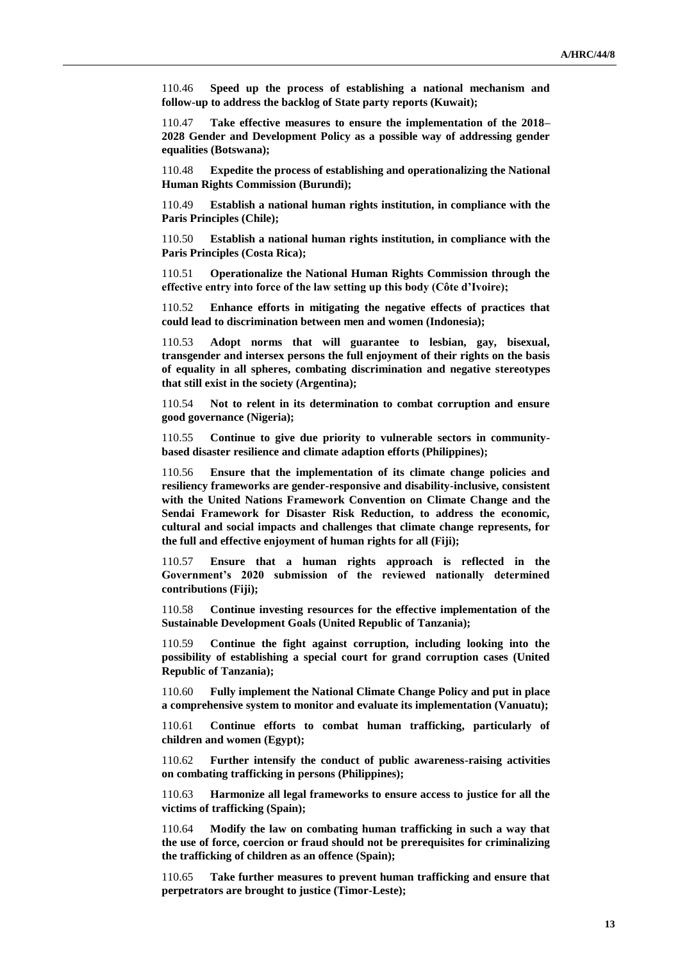110.46 **Speed up the process of establishing a national mechanism and follow-up to address the backlog of State party reports (Kuwait);**

110.47 **Take effective measures to ensure the implementation of the 2018– 2028 Gender and Development Policy as a possible way of addressing gender equalities (Botswana);**

110.48 **Expedite the process of establishing and operationalizing the National Human Rights Commission (Burundi);**

110.49 **Establish a national human rights institution, in compliance with the Paris Principles (Chile);**

110.50 **Establish a national human rights institution, in compliance with the Paris Principles (Costa Rica);**

110.51 **Operationalize the National Human Rights Commission through the effective entry into force of the law setting up this body (Côte d'Ivoire);**

110.52 **Enhance efforts in mitigating the negative effects of practices that could lead to discrimination between men and women (Indonesia);**

110.53 **Adopt norms that will guarantee to lesbian, gay, bisexual, transgender and intersex persons the full enjoyment of their rights on the basis of equality in all spheres, combating discrimination and negative stereotypes that still exist in the society (Argentina);**

110.54 **Not to relent in its determination to combat corruption and ensure good governance (Nigeria);**

110.55 **Continue to give due priority to vulnerable sectors in communitybased disaster resilience and climate adaption efforts (Philippines);**

110.56 **Ensure that the implementation of its climate change policies and resiliency frameworks are gender-responsive and disability-inclusive, consistent with the United Nations Framework Convention on Climate Change and the Sendai Framework for Disaster Risk Reduction, to address the economic, cultural and social impacts and challenges that climate change represents, for the full and effective enjoyment of human rights for all (Fiji);**

110.57 **Ensure that a human rights approach is reflected in the Government's 2020 submission of the reviewed nationally determined contributions (Fiji);**

110.58 **Continue investing resources for the effective implementation of the Sustainable Development Goals (United Republic of Tanzania);**

110.59 **Continue the fight against corruption, including looking into the possibility of establishing a special court for grand corruption cases (United Republic of Tanzania);**

110.60 **Fully implement the National Climate Change Policy and put in place a comprehensive system to monitor and evaluate its implementation (Vanuatu);**

110.61 **Continue efforts to combat human trafficking, particularly of children and women (Egypt);**

110.62 **Further intensify the conduct of public awareness-raising activities on combating trafficking in persons (Philippines);**

110.63 **Harmonize all legal frameworks to ensure access to justice for all the victims of trafficking (Spain);**

110.64 **Modify the law on combating human trafficking in such a way that the use of force, coercion or fraud should not be prerequisites for criminalizing the trafficking of children as an offence (Spain);**

110.65 **Take further measures to prevent human trafficking and ensure that perpetrators are brought to justice (Timor-Leste);**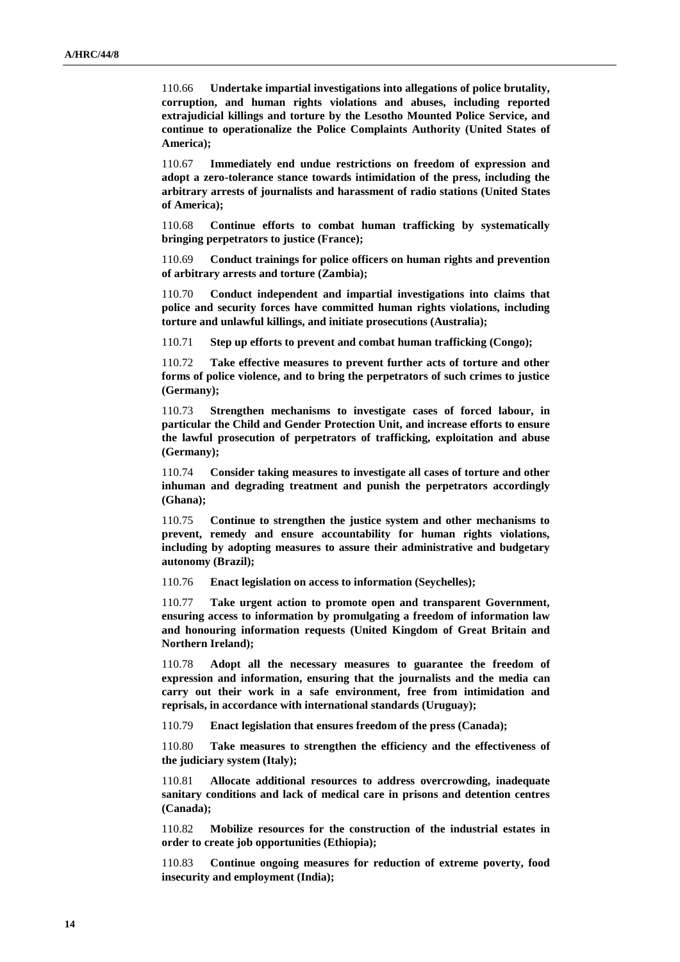110.66 **Undertake impartial investigations into allegations of police brutality, corruption, and human rights violations and abuses, including reported extrajudicial killings and torture by the Lesotho Mounted Police Service, and continue to operationalize the Police Complaints Authority (United States of America);**

110.67 **Immediately end undue restrictions on freedom of expression and adopt a zero-tolerance stance towards intimidation of the press, including the arbitrary arrests of journalists and harassment of radio stations (United States of America);**

110.68 **Continue efforts to combat human trafficking by systematically bringing perpetrators to justice (France);**

110.69 **Conduct trainings for police officers on human rights and prevention of arbitrary arrests and torture (Zambia);**

110.70 **Conduct independent and impartial investigations into claims that police and security forces have committed human rights violations, including torture and unlawful killings, and initiate prosecutions (Australia);**

110.71 **Step up efforts to prevent and combat human trafficking (Congo);**

110.72 **Take effective measures to prevent further acts of torture and other forms of police violence, and to bring the perpetrators of such crimes to justice (Germany);**

110.73 **Strengthen mechanisms to investigate cases of forced labour, in particular the Child and Gender Protection Unit, and increase efforts to ensure the lawful prosecution of perpetrators of trafficking, exploitation and abuse (Germany);**

110.74 **Consider taking measures to investigate all cases of torture and other inhuman and degrading treatment and punish the perpetrators accordingly (Ghana);**

110.75 **Continue to strengthen the justice system and other mechanisms to prevent, remedy and ensure accountability for human rights violations, including by adopting measures to assure their administrative and budgetary autonomy (Brazil);**

110.76 **Enact legislation on access to information (Seychelles);**

110.77 **Take urgent action to promote open and transparent Government, ensuring access to information by promulgating a freedom of information law and honouring information requests (United Kingdom of Great Britain and Northern Ireland);**

110.78 **Adopt all the necessary measures to guarantee the freedom of expression and information, ensuring that the journalists and the media can carry out their work in a safe environment, free from intimidation and reprisals, in accordance with international standards (Uruguay);**

110.79 **Enact legislation that ensures freedom of the press (Canada);**

110.80 **Take measures to strengthen the efficiency and the effectiveness of the judiciary system (Italy);**

110.81 **Allocate additional resources to address overcrowding, inadequate sanitary conditions and lack of medical care in prisons and detention centres (Canada);**

110.82 **Mobilize resources for the construction of the industrial estates in order to create job opportunities (Ethiopia);**

110.83 **Continue ongoing measures for reduction of extreme poverty, food insecurity and employment (India);**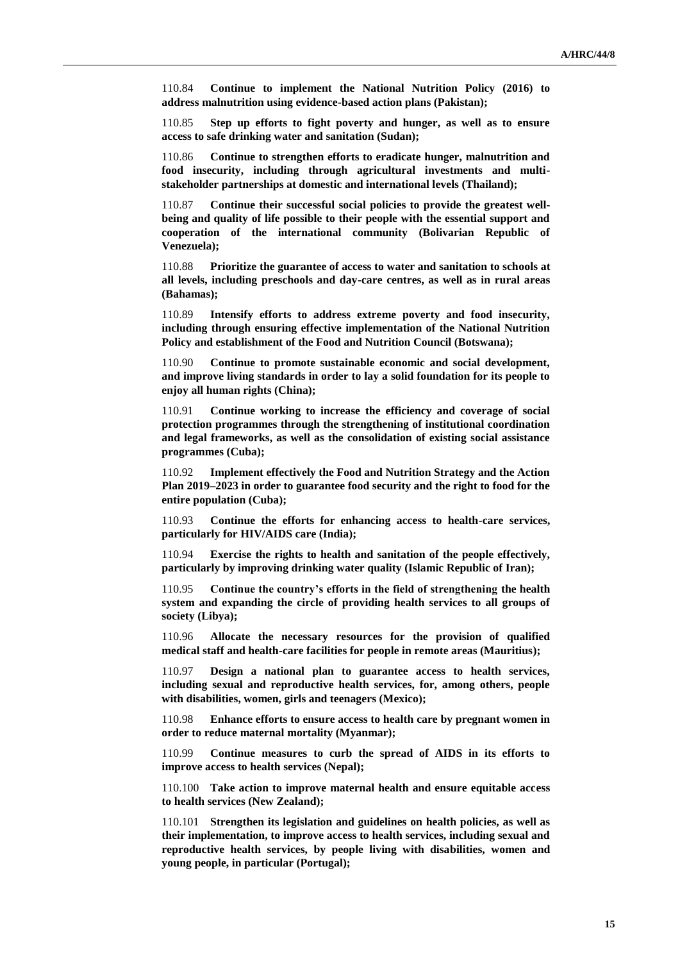110.84 **Continue to implement the National Nutrition Policy (2016) to address malnutrition using evidence-based action plans (Pakistan);**

110.85 **Step up efforts to fight poverty and hunger, as well as to ensure access to safe drinking water and sanitation (Sudan);**

110.86 **Continue to strengthen efforts to eradicate hunger, malnutrition and food insecurity, including through agricultural investments and multistakeholder partnerships at domestic and international levels (Thailand);**

110.87 **Continue their successful social policies to provide the greatest wellbeing and quality of life possible to their people with the essential support and cooperation of the international community (Bolivarian Republic of Venezuela);**

110.88 **Prioritize the guarantee of access to water and sanitation to schools at all levels, including preschools and day-care centres, as well as in rural areas (Bahamas);**

110.89 **Intensify efforts to address extreme poverty and food insecurity, including through ensuring effective implementation of the National Nutrition Policy and establishment of the Food and Nutrition Council (Botswana);**

110.90 **Continue to promote sustainable economic and social development, and improve living standards in order to lay a solid foundation for its people to enjoy all human rights (China);**

110.91 **Continue working to increase the efficiency and coverage of social protection programmes through the strengthening of institutional coordination and legal frameworks, as well as the consolidation of existing social assistance programmes (Cuba);**

110.92 **Implement effectively the Food and Nutrition Strategy and the Action Plan 2019–2023 in order to guarantee food security and the right to food for the entire population (Cuba);**

110.93 **Continue the efforts for enhancing access to health-care services, particularly for HIV/AIDS care (India);**

110.94 **Exercise the rights to health and sanitation of the people effectively, particularly by improving drinking water quality (Islamic Republic of Iran);**

110.95 **Continue the country's efforts in the field of strengthening the health system and expanding the circle of providing health services to all groups of society (Libya);**

110.96 **Allocate the necessary resources for the provision of qualified medical staff and health-care facilities for people in remote areas (Mauritius);**

110.97 **Design a national plan to guarantee access to health services, including sexual and reproductive health services, for, among others, people with disabilities, women, girls and teenagers (Mexico);**

110.98 **Enhance efforts to ensure access to health care by pregnant women in order to reduce maternal mortality (Myanmar);**

110.99 **Continue measures to curb the spread of AIDS in its efforts to improve access to health services (Nepal);**

110.100 **Take action to improve maternal health and ensure equitable access to health services (New Zealand);**

110.101 **Strengthen its legislation and guidelines on health policies, as well as their implementation, to improve access to health services, including sexual and reproductive health services, by people living with disabilities, women and young people, in particular (Portugal);**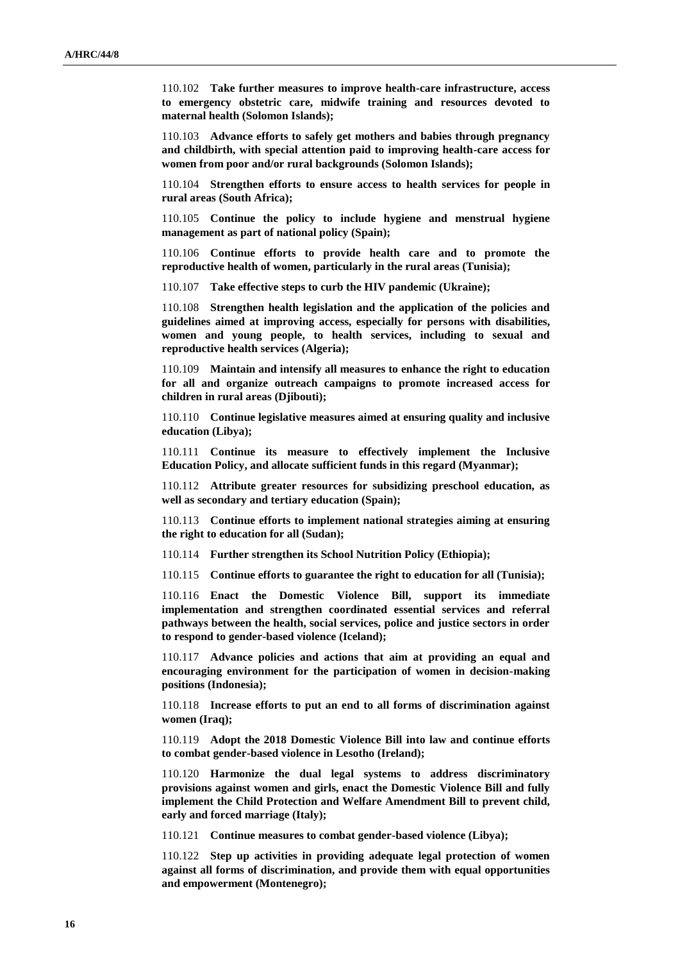110.102 **Take further measures to improve health-care infrastructure, access to emergency obstetric care, midwife training and resources devoted to maternal health (Solomon Islands);**

110.103 **Advance efforts to safely get mothers and babies through pregnancy and childbirth, with special attention paid to improving health-care access for women from poor and/or rural backgrounds (Solomon Islands);**

110.104 **Strengthen efforts to ensure access to health services for people in rural areas (South Africa);**

110.105 **Continue the policy to include hygiene and menstrual hygiene management as part of national policy (Spain);**

110.106 **Continue efforts to provide health care and to promote the reproductive health of women, particularly in the rural areas (Tunisia);**

110.107 **Take effective steps to curb the HIV pandemic (Ukraine);**

110.108 **Strengthen health legislation and the application of the policies and guidelines aimed at improving access, especially for persons with disabilities, women and young people, to health services, including to sexual and reproductive health services (Algeria);**

110.109 **Maintain and intensify all measures to enhance the right to education for all and organize outreach campaigns to promote increased access for children in rural areas (Djibouti);**

110.110 **Continue legislative measures aimed at ensuring quality and inclusive education (Libya);**

110.111 **Continue its measure to effectively implement the Inclusive Education Policy, and allocate sufficient funds in this regard (Myanmar);**

110.112 **Attribute greater resources for subsidizing preschool education, as well as secondary and tertiary education (Spain);**

110.113 **Continue efforts to implement national strategies aiming at ensuring the right to education for all (Sudan);**

110.114 **Further strengthen its School Nutrition Policy (Ethiopia);**

110.115 **Continue efforts to guarantee the right to education for all (Tunisia);**

110.116 **Enact the Domestic Violence Bill, support its immediate implementation and strengthen coordinated essential services and referral pathways between the health, social services, police and justice sectors in order to respond to gender-based violence (Iceland);**

110.117 **Advance policies and actions that aim at providing an equal and encouraging environment for the participation of women in decision-making positions (Indonesia);**

110.118 **Increase efforts to put an end to all forms of discrimination against women (Iraq);**

110.119 **Adopt the 2018 Domestic Violence Bill into law and continue efforts to combat gender-based violence in Lesotho (Ireland);**

110.120 **Harmonize the dual legal systems to address discriminatory provisions against women and girls, enact the Domestic Violence Bill and fully implement the Child Protection and Welfare Amendment Bill to prevent child, early and forced marriage (Italy);**

110.121 **Continue measures to combat gender-based violence (Libya);**

110.122 **Step up activities in providing adequate legal protection of women against all forms of discrimination, and provide them with equal opportunities and empowerment (Montenegro);**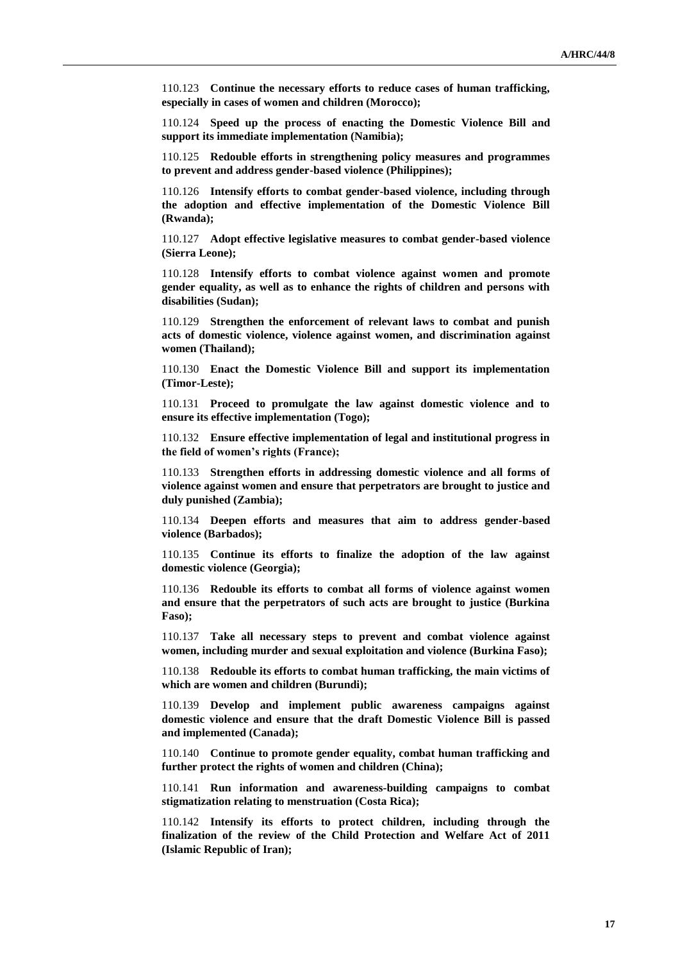110.123 **Continue the necessary efforts to reduce cases of human trafficking, especially in cases of women and children (Morocco);**

110.124 **Speed up the process of enacting the Domestic Violence Bill and support its immediate implementation (Namibia);**

110.125 **Redouble efforts in strengthening policy measures and programmes to prevent and address gender-based violence (Philippines);**

110.126 **Intensify efforts to combat gender-based violence, including through the adoption and effective implementation of the Domestic Violence Bill (Rwanda);**

110.127 **Adopt effective legislative measures to combat gender-based violence (Sierra Leone);**

110.128 **Intensify efforts to combat violence against women and promote gender equality, as well as to enhance the rights of children and persons with disabilities (Sudan);**

110.129 **Strengthen the enforcement of relevant laws to combat and punish acts of domestic violence, violence against women, and discrimination against women (Thailand);**

110.130 **Enact the Domestic Violence Bill and support its implementation (Timor-Leste);**

110.131 **Proceed to promulgate the law against domestic violence and to ensure its effective implementation (Togo);**

110.132 **Ensure effective implementation of legal and institutional progress in the field of women's rights (France);**

110.133 **Strengthen efforts in addressing domestic violence and all forms of violence against women and ensure that perpetrators are brought to justice and duly punished (Zambia);**

110.134 **Deepen efforts and measures that aim to address gender-based violence (Barbados);**

110.135 **Continue its efforts to finalize the adoption of the law against domestic violence (Georgia);**

110.136 **Redouble its efforts to combat all forms of violence against women and ensure that the perpetrators of such acts are brought to justice (Burkina Faso);**

110.137 **Take all necessary steps to prevent and combat violence against women, including murder and sexual exploitation and violence (Burkina Faso);**

110.138 **Redouble its efforts to combat human trafficking, the main victims of which are women and children (Burundi);**

110.139 **Develop and implement public awareness campaigns against domestic violence and ensure that the draft Domestic Violence Bill is passed and implemented (Canada);**

110.140 **Continue to promote gender equality, combat human trafficking and further protect the rights of women and children (China);**

110.141 **Run information and awareness-building campaigns to combat stigmatization relating to menstruation (Costa Rica);**

110.142 **Intensify its efforts to protect children, including through the finalization of the review of the Child Protection and Welfare Act of 2011 (Islamic Republic of Iran);**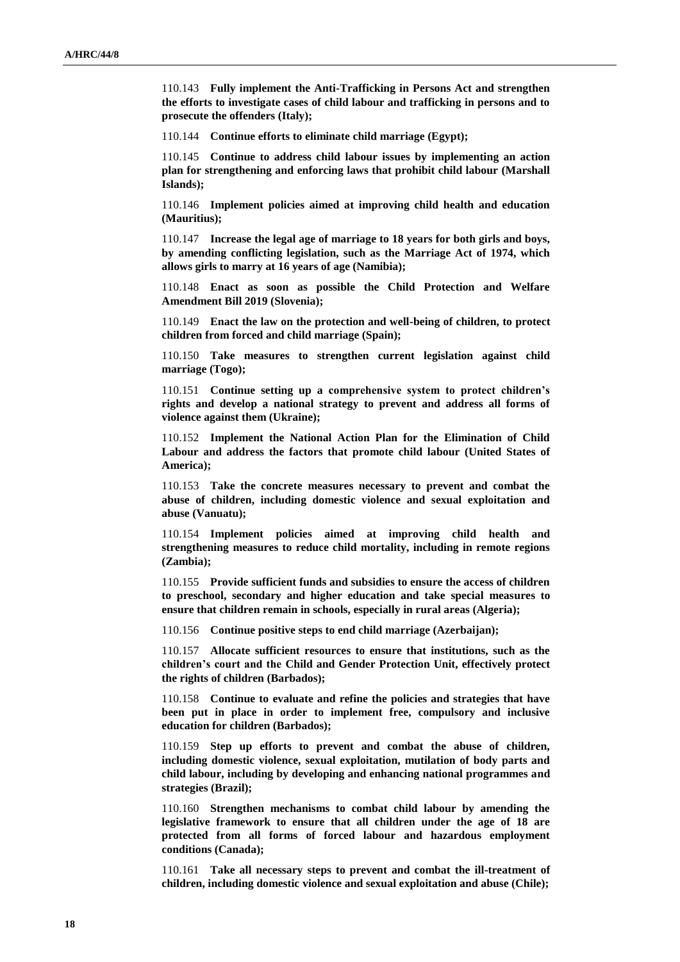110.143 **Fully implement the Anti-Trafficking in Persons Act and strengthen the efforts to investigate cases of child labour and trafficking in persons and to prosecute the offenders (Italy);**

110.144 **Continue efforts to eliminate child marriage (Egypt);**

110.145 **Continue to address child labour issues by implementing an action plan for strengthening and enforcing laws that prohibit child labour (Marshall Islands);**

110.146 **Implement policies aimed at improving child health and education (Mauritius);**

110.147 **Increase the legal age of marriage to 18 years for both girls and boys, by amending conflicting legislation, such as the Marriage Act of 1974, which allows girls to marry at 16 years of age (Namibia);**

110.148 **Enact as soon as possible the Child Protection and Welfare Amendment Bill 2019 (Slovenia);**

110.149 **Enact the law on the protection and well-being of children, to protect children from forced and child marriage (Spain);**

110.150 **Take measures to strengthen current legislation against child marriage (Togo);**

110.151 **Continue setting up a comprehensive system to protect children's rights and develop a national strategy to prevent and address all forms of violence against them (Ukraine);**

110.152 **Implement the National Action Plan for the Elimination of Child Labour and address the factors that promote child labour (United States of America);**

110.153 **Take the concrete measures necessary to prevent and combat the abuse of children, including domestic violence and sexual exploitation and abuse (Vanuatu);**

110.154 **Implement policies aimed at improving child health and strengthening measures to reduce child mortality, including in remote regions (Zambia);**

110.155 **Provide sufficient funds and subsidies to ensure the access of children to preschool, secondary and higher education and take special measures to ensure that children remain in schools, especially in rural areas (Algeria);**

110.156 **Continue positive steps to end child marriage (Azerbaijan);**

110.157 **Allocate sufficient resources to ensure that institutions, such as the children's court and the Child and Gender Protection Unit, effectively protect the rights of children (Barbados);**

110.158 **Continue to evaluate and refine the policies and strategies that have been put in place in order to implement free, compulsory and inclusive education for children (Barbados);**

110.159 **Step up efforts to prevent and combat the abuse of children, including domestic violence, sexual exploitation, mutilation of body parts and child labour, including by developing and enhancing national programmes and strategies (Brazil);**

110.160 **Strengthen mechanisms to combat child labour by amending the legislative framework to ensure that all children under the age of 18 are protected from all forms of forced labour and hazardous employment conditions (Canada);**

110.161 **Take all necessary steps to prevent and combat the ill-treatment of children, including domestic violence and sexual exploitation and abuse (Chile);**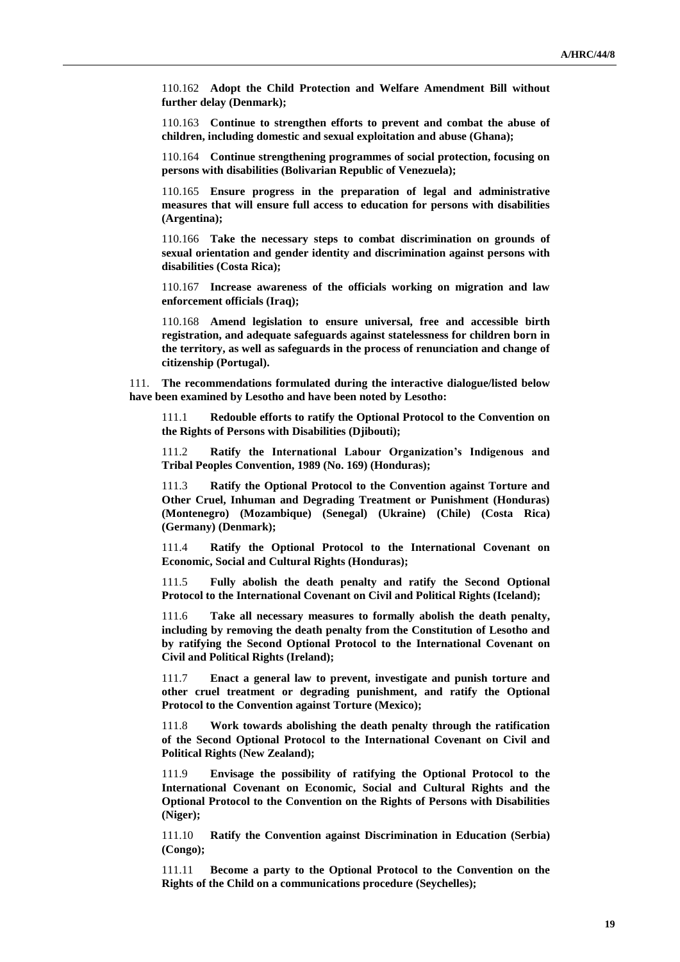110.162 **Adopt the Child Protection and Welfare Amendment Bill without further delay (Denmark);**

110.163 **Continue to strengthen efforts to prevent and combat the abuse of children, including domestic and sexual exploitation and abuse (Ghana);**

110.164 **Continue strengthening programmes of social protection, focusing on persons with disabilities (Bolivarian Republic of Venezuela);**

110.165 **Ensure progress in the preparation of legal and administrative measures that will ensure full access to education for persons with disabilities (Argentina);**

110.166 **Take the necessary steps to combat discrimination on grounds of sexual orientation and gender identity and discrimination against persons with disabilities (Costa Rica);**

110.167 **Increase awareness of the officials working on migration and law enforcement officials (Iraq);**

110.168 **Amend legislation to ensure universal, free and accessible birth registration, and adequate safeguards against statelessness for children born in the territory, as well as safeguards in the process of renunciation and change of citizenship (Portugal).**

111. **The recommendations formulated during the interactive dialogue/listed below have been examined by Lesotho and have been noted by Lesotho:**

111.1 **Redouble efforts to ratify the Optional Protocol to the Convention on the Rights of Persons with Disabilities (Djibouti);**

111.2 **Ratify the International Labour Organization's Indigenous and Tribal Peoples Convention, 1989 (No. 169) (Honduras);**

111.3 **Ratify the Optional Protocol to the Convention against Torture and Other Cruel, Inhuman and Degrading Treatment or Punishment (Honduras) (Montenegro) (Mozambique) (Senegal) (Ukraine) (Chile) (Costa Rica) (Germany) (Denmark);**

111.4 **Ratify the Optional Protocol to the International Covenant on Economic, Social and Cultural Rights (Honduras);**

111.5 **Fully abolish the death penalty and ratify the Second Optional Protocol to the International Covenant on Civil and Political Rights (Iceland);**

111.6 **Take all necessary measures to formally abolish the death penalty, including by removing the death penalty from the Constitution of Lesotho and by ratifying the Second Optional Protocol to the International Covenant on Civil and Political Rights (Ireland);**

111.7 **Enact a general law to prevent, investigate and punish torture and other cruel treatment or degrading punishment, and ratify the Optional Protocol to the Convention against Torture (Mexico);**

111.8 **Work towards abolishing the death penalty through the ratification of the Second Optional Protocol to the International Covenant on Civil and Political Rights (New Zealand);**

111.9 **Envisage the possibility of ratifying the Optional Protocol to the International Covenant on Economic, Social and Cultural Rights and the Optional Protocol to the Convention on the Rights of Persons with Disabilities (Niger);**

111.10 **Ratify the Convention against Discrimination in Education (Serbia) (Congo);**

111.11 **Become a party to the Optional Protocol to the Convention on the Rights of the Child on a communications procedure (Seychelles);**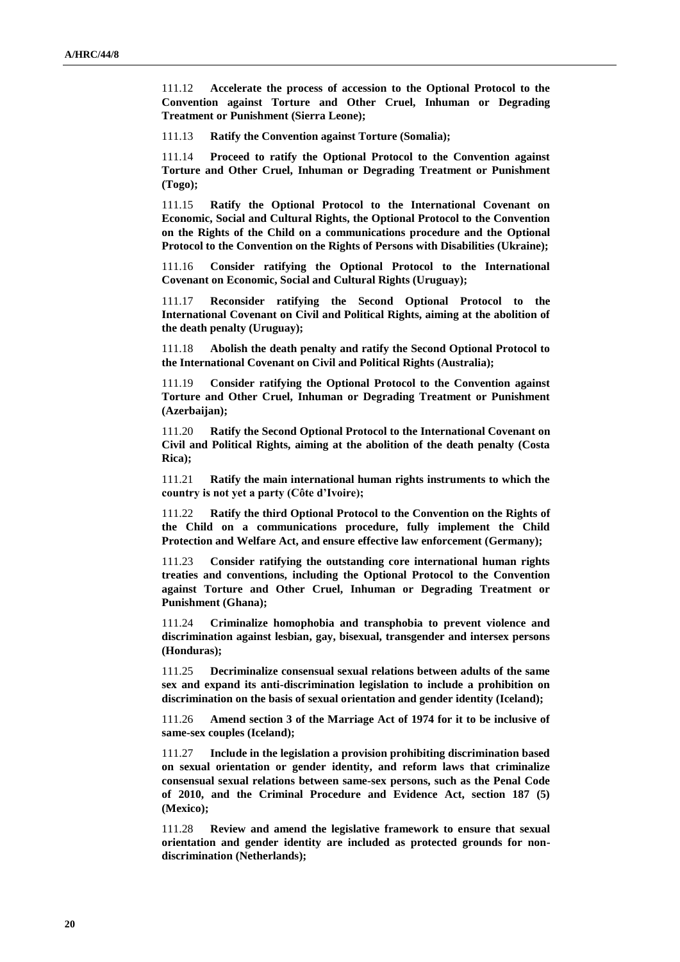111.12 **Accelerate the process of accession to the Optional Protocol to the Convention against Torture and Other Cruel, Inhuman or Degrading Treatment or Punishment (Sierra Leone);**

111.13 **Ratify the Convention against Torture (Somalia);**

111.14 **Proceed to ratify the Optional Protocol to the Convention against Torture and Other Cruel, Inhuman or Degrading Treatment or Punishment (Togo);**

111.15 **Ratify the Optional Protocol to the International Covenant on Economic, Social and Cultural Rights, the Optional Protocol to the Convention on the Rights of the Child on a communications procedure and the Optional Protocol to the Convention on the Rights of Persons with Disabilities (Ukraine);**

111.16 **Consider ratifying the Optional Protocol to the International Covenant on Economic, Social and Cultural Rights (Uruguay);**

111.17 **Reconsider ratifying the Second Optional Protocol to the International Covenant on Civil and Political Rights, aiming at the abolition of the death penalty (Uruguay);**

111.18 **Abolish the death penalty and ratify the Second Optional Protocol to the International Covenant on Civil and Political Rights (Australia);**

111.19 **Consider ratifying the Optional Protocol to the Convention against Torture and Other Cruel, Inhuman or Degrading Treatment or Punishment (Azerbaijan);**

111.20 **Ratify the Second Optional Protocol to the International Covenant on Civil and Political Rights, aiming at the abolition of the death penalty (Costa Rica);**

111.21 **Ratify the main international human rights instruments to which the country is not yet a party (Côte d'Ivoire);**

111.22 **Ratify the third Optional Protocol to the Convention on the Rights of the Child on a communications procedure, fully implement the Child Protection and Welfare Act, and ensure effective law enforcement (Germany);**

111.23 **Consider ratifying the outstanding core international human rights treaties and conventions, including the Optional Protocol to the Convention against Torture and Other Cruel, Inhuman or Degrading Treatment or Punishment (Ghana);**

111.24 **Criminalize homophobia and transphobia to prevent violence and discrimination against lesbian, gay, bisexual, transgender and intersex persons (Honduras);**

111.25 **Decriminalize consensual sexual relations between adults of the same sex and expand its anti-discrimination legislation to include a prohibition on discrimination on the basis of sexual orientation and gender identity (Iceland);**

111.26 **Amend section 3 of the Marriage Act of 1974 for it to be inclusive of same-sex couples (Iceland);**

111.27 **Include in the legislation a provision prohibiting discrimination based on sexual orientation or gender identity, and reform laws that criminalize consensual sexual relations between same-sex persons, such as the Penal Code of 2010, and the Criminal Procedure and Evidence Act, section 187 (5) (Mexico);**

111.28 **Review and amend the legislative framework to ensure that sexual orientation and gender identity are included as protected grounds for nondiscrimination (Netherlands);**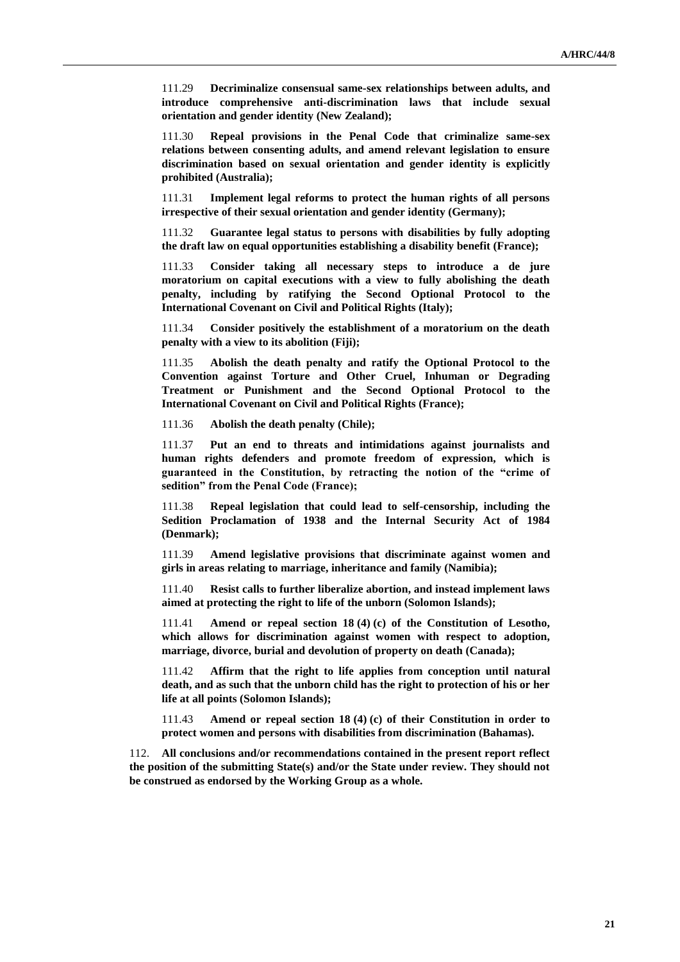111.29 **Decriminalize consensual same-sex relationships between adults, and introduce comprehensive anti-discrimination laws that include sexual orientation and gender identity (New Zealand);**

111.30 **Repeal provisions in the Penal Code that criminalize same-sex relations between consenting adults, and amend relevant legislation to ensure discrimination based on sexual orientation and gender identity is explicitly prohibited (Australia);**

111.31 **Implement legal reforms to protect the human rights of all persons irrespective of their sexual orientation and gender identity (Germany);**

111.32 **Guarantee legal status to persons with disabilities by fully adopting the draft law on equal opportunities establishing a disability benefit (France);**

111.33 **Consider taking all necessary steps to introduce a de jure moratorium on capital executions with a view to fully abolishing the death penalty, including by ratifying the Second Optional Protocol to the International Covenant on Civil and Political Rights (Italy);**

111.34 **Consider positively the establishment of a moratorium on the death penalty with a view to its abolition (Fiji);**

111.35 **Abolish the death penalty and ratify the Optional Protocol to the Convention against Torture and Other Cruel, Inhuman or Degrading Treatment or Punishment and the Second Optional Protocol to the International Covenant on Civil and Political Rights (France);**

111.36 **Abolish the death penalty (Chile);**

111.37 **Put an end to threats and intimidations against journalists and human rights defenders and promote freedom of expression, which is guaranteed in the Constitution, by retracting the notion of the "crime of sedition" from the Penal Code (France);**

111.38 **Repeal legislation that could lead to self-censorship, including the Sedition Proclamation of 1938 and the Internal Security Act of 1984 (Denmark);**

111.39 **Amend legislative provisions that discriminate against women and girls in areas relating to marriage, inheritance and family (Namibia);**

111.40 **Resist calls to further liberalize abortion, and instead implement laws aimed at protecting the right to life of the unborn (Solomon Islands);**

111.41 **Amend or repeal section 18 (4) (c) of the Constitution of Lesotho, which allows for discrimination against women with respect to adoption, marriage, divorce, burial and devolution of property on death (Canada);**

111.42 **Affirm that the right to life applies from conception until natural death, and as such that the unborn child has the right to protection of his or her life at all points (Solomon Islands);**

111.43 **Amend or repeal section 18 (4) (c) of their Constitution in order to protect women and persons with disabilities from discrimination (Bahamas).**

112. **All conclusions and/or recommendations contained in the present report reflect the position of the submitting State(s) and/or the State under review. They should not be construed as endorsed by the Working Group as a whole.**